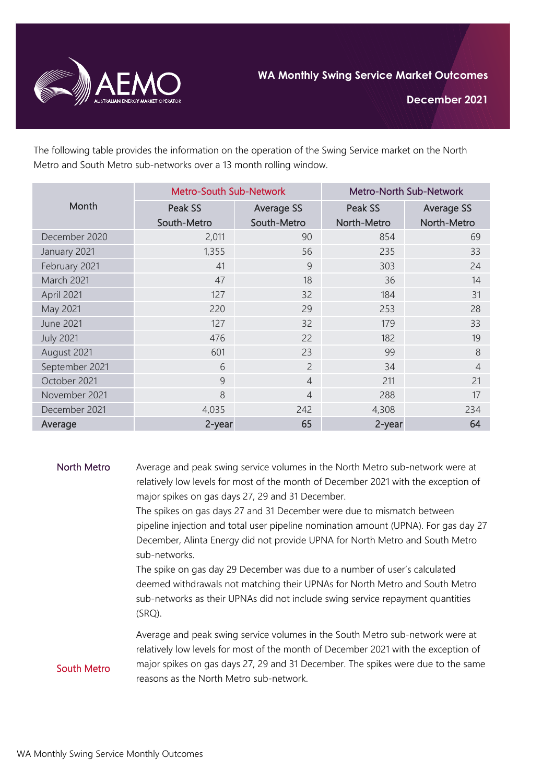

**December 2021**

The following table provides the information on the operation of the Swing Service market on the North Metro and South Metro sub-networks over a 13 month rolling window.

| Month            | <b>Metro-South Sub-Network</b> |                | Metro-North Sub-Network |                   |
|------------------|--------------------------------|----------------|-------------------------|-------------------|
|                  | Peak SS                        | Average SS     | Peak SS                 | <b>Average SS</b> |
|                  | South-Metro                    | South-Metro    | North-Metro             | North-Metro       |
| December 2020    | 2,011                          | 90             | 854                     | 69                |
| January 2021     | 1,355                          | 56             | 235                     | 33                |
| February 2021    | 41                             | 9              | 303                     | 24                |
| March 2021       | 47                             | 18             | 36                      | 14                |
| April 2021       | 127                            | 32             | 184                     | 31                |
| May 2021         | 220                            | 29             | 253                     | 28                |
| <b>June 2021</b> | 127                            | 32             | 179                     | 33                |
| <b>July 2021</b> | 476                            | 22             | 182                     | 19                |
| August 2021      | 601                            | 23             | 99                      | 8                 |
| September 2021   | 6                              | $\overline{2}$ | 34                      | $\overline{4}$    |
| October 2021     | 9                              | $\overline{4}$ | 211                     | 21                |
| November 2021    | 8                              | $\overline{4}$ | 288                     | 17                |
| December 2021    | 4,035                          | 242            | 4,308                   | 234               |
| Average          | 2-year                         | 65             | 2-year                  | 64                |

## North Metro Average and peak swing service volumes in the North Metro sub-network were at relatively low levels for most of the month of December 2021 with the exception of major spikes on gas days 27, 29 and 31 December.

The spikes on gas days 27 and 31 December were due to mismatch between pipeline injection and total user pipeline nomination amount (UPNA). For gas day 27 December, Alinta Energy did not provide UPNA for North Metro and South Metro sub-networks.

The spike on gas day 29 December was due to a number of user's calculated deemed withdrawals not matching their UPNAs for North Metro and South Metro sub-networks as their UPNAs did not include swing service repayment quantities (SRQ).

Average and peak swing service volumes in the South Metro sub-network were at relatively low levels for most of the month of December 2021 with the exception of major spikes on gas days 27, 29 and 31 December. The spikes were due to the same reasons as the North Metro sub-network.

South Metro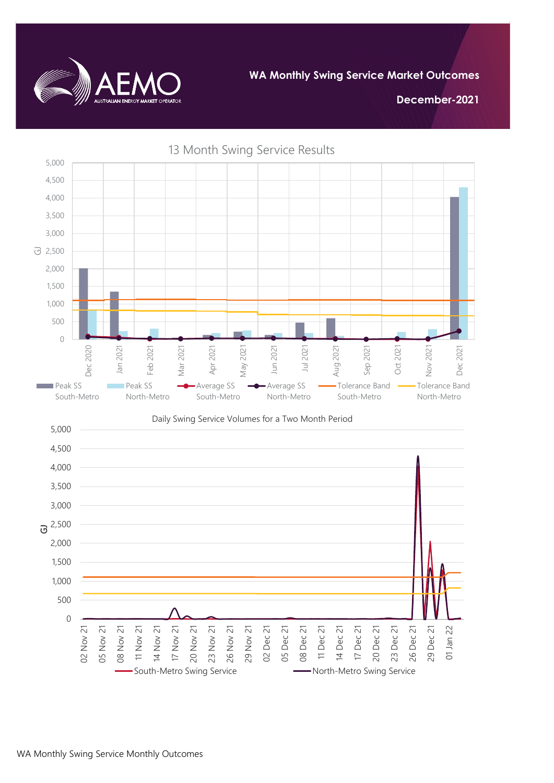

**December-2021**